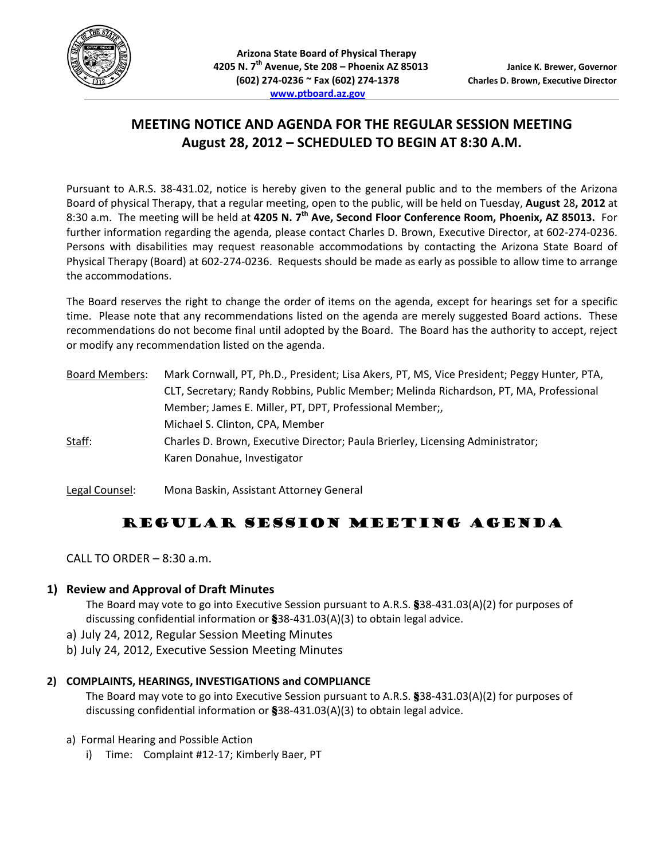

# **MEETING NOTICE AND AGENDA FOR THE REGULAR SESSION MEETING August 28, 2012 – SCHEDULED TO BEGIN AT 8:30 A.M.**

Pursuant to A.R.S. 38‐431.02, notice is hereby given to the general public and to the members of the Arizona Board of physical Therapy, that a regular meeting, open to the public, will be held on Tuesday, **August** 28**, 2012** at 8:30 a.m. The meeting will be held at **4205 N. 7th Ave, Second Floor Conference Room, Phoenix, AZ 85013.** For further information regarding the agenda, please contact Charles D. Brown, Executive Director, at 602‐274‐0236. Persons with disabilities may request reasonable accommodations by contacting the Arizona State Board of Physical Therapy (Board) at 602‐274‐0236. Requests should be made as early as possible to allow time to arrange the accommodations.

The Board reserves the right to change the order of items on the agenda, except for hearings set for a specific time. Please note that any recommendations listed on the agenda are merely suggested Board actions. These recommendations do not become final until adopted by the Board. The Board has the authority to accept, reject or modify any recommendation listed on the agenda.

| <b>Board Members:</b> | Mark Cornwall, PT, Ph.D., President; Lisa Akers, PT, MS, Vice President; Peggy Hunter, PTA, |
|-----------------------|---------------------------------------------------------------------------------------------|
|                       | CLT, Secretary; Randy Robbins, Public Member; Melinda Richardson, PT, MA, Professional      |
|                       | Member; James E. Miller, PT, DPT, Professional Member;,                                     |
|                       | Michael S. Clinton, CPA, Member                                                             |
| Staff:                | Charles D. Brown, Executive Director; Paula Brierley, Licensing Administrator;              |
|                       | Karen Donahue, Investigator                                                                 |
|                       |                                                                                             |

Legal Counsel: Mona Baskin, Assistant Attorney General

# REGULAR SESSION MEETING AGENDA

CALL TO ORDER – 8:30 a.m.

# **1) Review and Approval of Draft Minutes**

The Board may vote to go into Executive Session pursuant to A.R.S. §38-431.03(A)(2) for purposes of discussing confidential information or §38‐431.03(A)(3) to obtain legal advice.

- a) July 24, 2012, Regular Session Meeting Minutes
- b) July 24, 2012, Executive Session Meeting Minutes

## **2) COMPLAINTS, HEARINGS, INVESTIGATIONS and COMPLIANCE**

The Board may vote to go into Executive Session pursuant to A.R.S. §38-431.03(A)(2) for purposes of discussing confidential information or §38‐431.03(A)(3) to obtain legal advice.

- a) Formal Hearing and Possible Action
	- i) Time: Complaint #12-17; Kimberly Baer, PT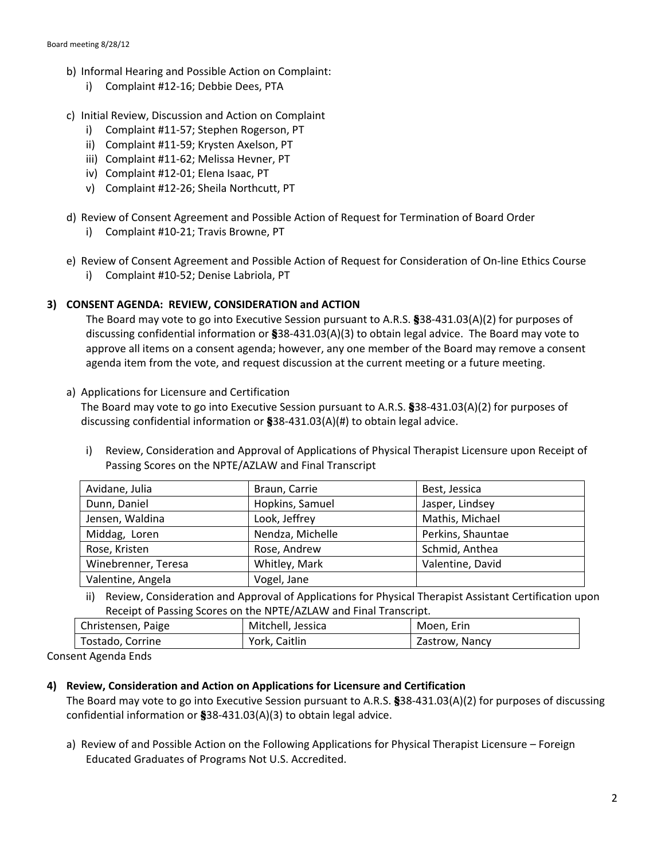- b) Informal Hearing and Possible Action on Complaint:
	- i) Complaint #12‐16; Debbie Dees, PTA
- c) Initial Review, Discussion and Action on Complaint
	- i) Complaint #11‐57; Stephen Rogerson, PT
	- ii) Complaint #11‐59; Krysten Axelson, PT
	- iii) Complaint #11‐62; Melissa Hevner, PT
	- iv) Complaint #12‐01; Elena Isaac, PT
	- v) Complaint #12‐26; Sheila Northcutt, PT
- d) Review of Consent Agreement and Possible Action of Request for Termination of Board Order
	- i) Complaint #10‐21; Travis Browne, PT
- e) Review of Consent Agreement and Possible Action of Request for Consideration of On‐line Ethics Course
	- i) Complaint #10‐52; Denise Labriola, PT

## **3) CONSENT AGENDA: REVIEW, CONSIDERATION and ACTION**

The Board may vote to go into Executive Session pursuant to A.R.S. §38-431.03(A)(2) for purposes of discussing confidential information or §38-431.03(A)(3) to obtain legal advice. The Board may vote to approve all items on a consent agenda; however, any one member of the Board may remove a consent agenda item from the vote, and request discussion at the current meeting or a future meeting.

#### a) Applications for Licensure and Certification

The Board may vote to go into Executive Session pursuant to A.R.S. §38-431.03(A)(2) for purposes of discussing confidential information or  $\$38-431.03(A)(#)$  to obtain legal advice.

i) Review, Consideration and Approval of Applications of Physical Therapist Licensure upon Receipt of Passing Scores on the NPTE/AZLAW and Final Transcript

| Avidane, Julia      | Braun, Carrie    | Best, Jessica     |
|---------------------|------------------|-------------------|
| Dunn, Daniel        | Hopkins, Samuel  | Jasper, Lindsey   |
| Jensen, Waldina     | Look, Jeffrey    | Mathis, Michael   |
| Middag, Loren       | Nendza, Michelle | Perkins, Shauntae |
| Rose, Kristen       | Rose, Andrew     | Schmid, Anthea    |
| Winebrenner, Teresa | Whitley, Mark    | Valentine, David  |
| Valentine, Angela   | Vogel, Jane      |                   |

ii) Review, Consideration and Approval of Applications for Physical Therapist Assistant Certification upon Receipt of Passing Scores on the NPTE/AZLAW and Final Transcript.

| Christensen, Paige | Mitchell, Jessica | Moen. Erin     |
|--------------------|-------------------|----------------|
| Tostado, Corrine   | York, Caitlin     | Zastrow. Nancy |
|                    |                   |                |

Consent Agenda Ends

#### **4) Review, Consideration and Action on Applications for Licensure and Certification**

The Board may vote to go into Executive Session pursuant to A.R.S. §38-431.03(A)(2) for purposes of discussing confidential information or §38‐431.03(A)(3) to obtain legal advice.

a) Review of and Possible Action on the Following Applications for Physical Therapist Licensure – Foreign Educated Graduates of Programs Not U.S. Accredited.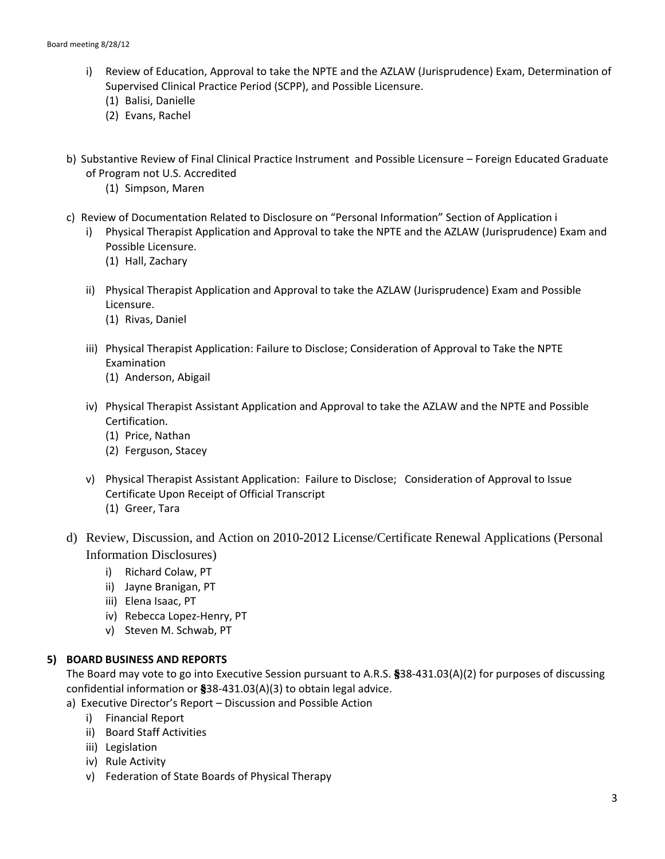- i) Review of Education, Approval to take the NPTE and the AZLAW (Jurisprudence) Exam, Determination of Supervised Clinical Practice Period (SCPP), and Possible Licensure.
	- (1) Balisi, Danielle
	- (2) Evans, Rachel
- b) Substantive Review of Final Clinical Practice Instrument and Possible Licensure Foreign Educated Graduate of Program not U.S. Accredited
	- (1) Simpson, Maren
- c) Review of Documentation Related to Disclosure on "Personal Information" Section of Application i
	- i) Physical Therapist Application and Approval to take the NPTE and the AZLAW (Jurisprudence) Exam and Possible Licensure.
		- (1) Hall, Zachary
	- ii) Physical Therapist Application and Approval to take the AZLAW (Jurisprudence) Exam and Possible Licensure.
		- (1) Rivas, Daniel
	- iii) Physical Therapist Application: Failure to Disclose; Consideration of Approval to Take the NPTE Examination
		- (1) Anderson, Abigail
	- iv) Physical Therapist Assistant Application and Approval to take the AZLAW and the NPTE and Possible Certification.
		- (1) Price, Nathan
		- (2) Ferguson, Stacey
	- v) Physical Therapist Assistant Application: Failure to Disclose; Consideration of Approval to Issue Certificate Upon Receipt of Official Transcript
		- (1) Greer, Tara
- d) Review, Discussion, and Action on 2010-2012 License/Certificate Renewal Applications (Personal Information Disclosures)
	- i) Richard Colaw, PT
	- ii) Jayne Branigan, PT
	- iii) Elena Isaac, PT
	- iv) Rebecca Lopez‐Henry, PT
	- v) Steven M. Schwab, PT

#### **5) BOARD BUSINESS AND REPORTS**

The Board may vote to go into Executive Session pursuant to A.R.S. §38-431.03(A)(2) for purposes of discussing confidential information or §38‐431.03(A)(3) to obtain legal advice.

- a) Executive Director's Report Discussion and Possible Action
	- i) Financial Report
	- ii) Board Staff Activities
	- iii) Legislation
	- iv) Rule Activity
	- v) Federation of State Boards of Physical Therapy